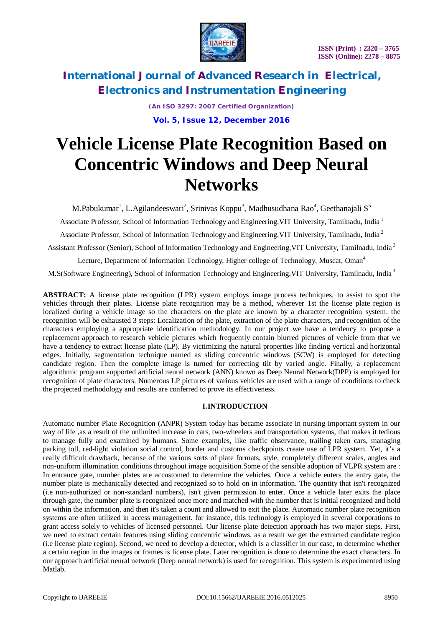

*(An ISO 3297: 2007 Certified Organization)* **Vol. 5, Issue 12, December 2016**

# **Vehicle License Plate Recognition Based on Concentric Windows and Deep Neural Networks**

M.Pabukumar<sup>1</sup>, L.Agilandeeswari<sup>2</sup>, Srinivas Koppu<sup>3</sup>, Madhusudhana Rao<sup>4</sup>, Geethanajali S<sup>5</sup>

Associate Professor, School of Information Technology and Engineering,VIT University, Tamilnadu, India <sup>1</sup>

Associate Professor, School of Information Technology and Engineering,VIT University, Tamilnadu, India <sup>2</sup>

Assistant Professor (Senior), School of Information Technology and Engineering,VIT University, Tamilnadu, India <sup>3</sup>

Lecture, Department of Information Technology, Higher college of Technology, Muscat, Oman<sup>4</sup>

M.S(Software Engineering), School of Information Technology and Engineering,VIT University, Tamilnadu, India <sup>3</sup>

**ABSTRACT:** A license plate recognition (LPR) system employs image process techniques, to assist to spot the vehicles through their plates. License plate recognition may be a method, wherever 1st the license plate region is localized during a vehicle image so the characters on the plate are known by a character recognition system. the recognition will be exhausted 3 steps: Localization of the plate, extraction of the plate characters, and recognition of the characters employing a appropriate identification methodology. In our project we have a tendency to propose a replacement approach to research vehicle pictures which frequently contain blurred pictures of vehicle from that we have a tendency to extract license plate (LP). By victimizing the natural properties like finding vertical and horizontal edges. Initially, segmentation technique named as sliding concentric windows (SCW) is employed for detecting candidate region. Then the complete image is turned for correcting tilt by varied angle. Finally, a replacement algorithmic program supported artificial neural network (ANN) known as Deep Neural Network(DPP) is employed for recognition of plate characters. Numerous LP pictures of various vehicles are used with a range of conditions to check the projected methodology and results are conferred to prove its effectiveness.

### **I.INTRODUCTION**

Automatic number Plate Recognition (ANPR) System today has became associate in nursing important system in our way of life ,as a result of the unlimited increase in cars, two-wheelers and transportation systems, that makes it tedious to manage fully and examined by humans. Some examples, like traffic observance, trailing taken cars, managing parking toll, red-light violation social control, border and customs checkpoints create use of LPR system. Yet, it's a really difficult drawback, because of the various sorts of plate formats, style, completely different scales, angles and non-uniform illumination conditions throughout image acquisition.Some of the sensible adoption of VLPR system are : In entrance gate, number plates are accustomed to determine the vehicles. Once a vehicle enters the entry gate, the number plate is mechanically detected and recognized so to hold on in information. The quantity that isn't recognized (i.e non-authorized or non-standard numbers), isn't given permission to enter. Once a vehicle later exits the place through gate, the number plate is recognized once more and matched with the number that is initial recognized and hold on within the information, and then it's taken a count and allowed to exit the place. Automatic number plate recognition systems are often utilized in access management. for instance, this technology is employed in several corporations to grant access solely to vehicles of licensed personnel. Our license plate detection approach has two major steps. First, we need to extract certain features using sliding concentric windows, as a result we get the extracted candidate region (i.e license plate region). Second, we need to develop a detector, which is a classifier in our case, to determine whether a certain region in the images or frames is license plate. Later recognition is done to determine the exact characters. In our approach artificial neural network (Deep neural network) is used for recognition. This system is experimented using Matlab.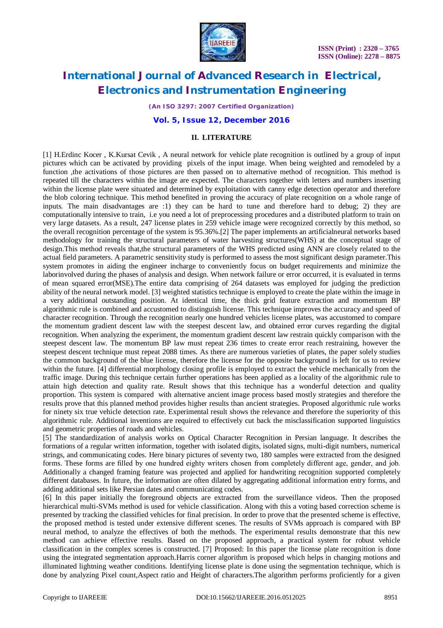

*(An ISO 3297: 2007 Certified Organization)*

#### **Vol. 5, Issue 12, December 2016**

#### **II. LITERATURE**

[1] H.Erdinc Kocer , K.Kursat Cevik , A neural network for vehicle plate recognition is outlined by a group of input pictures which can be activated by providing pixels of the input image. When being weighted and remodeled by a function ,the activations of those pictures are then passed on to alternative method of recognition. This method is repeated till the characters within the image are expected. The characters together with letters and numbers inserting within the license plate were situated and determined by exploitation with canny edge detection operator and therefore the blob coloring technique. This method benefited in proving the accuracy of plate recognition on a whole range of inputs. The main disadvantages are :1) they can be hard to tune and therefore hard to debug; 2) they are computationally intensive to train, i.e you need a lot of preprocessing procedures and a distributed platform to train on very large datasets. As a result, 247 license plates in 259 vehicle image were recognized correctly by this method, so the overall recognition percentage of the system is 95.36%.[2] The paper implements an artificialneural networks based methodology for training the structural parameters of water harvesting structures(WHS) at the conceptual stage of design.This method reveals that,the structural parameters of the WHS predicted using ANN are closely related to the actual field parameters. A parametric sensitivity study is performed to assess the most significant design parameter.This system promotes in aiding the engineer incharge to conveniently focus on budget requirements and minimize the laborinvolved during the phases of analysis and design. When network failure or error occurred, it is evaluated in terms of mean squared error(MSE).The entire data comprising of 264 datasets was employed for judging the prediction ability of the neural network model. [3] weighted statistics technique is employed to create the plate within the image in a very additional outstanding position. At identical time, the thick grid feature extraction and momentum BP algorithmic rule is combined and accustomed to distinguish license. This technique improves the accuracy and speed of character recognition. Through the recognition nearly one hundred vehicles license plates, was accustomed to compare the momentum gradient descent law with the steepest descent law, and obtained error curves regarding the digital recognition. When analyzing the experiment, the momentum gradient descent law restrain quickly comparison with the steepest descent law. The momentum BP law must repeat 236 times to create error reach restraining, however the steepest descent technique must repeat 2088 times. As there are numerous varieties of plates, the paper solely studies the common background of the blue license, therefore the license for the opposite background is left for us to review within the future. [4] differential morphology closing profile is employed to extract the vehicle mechanically from the traffic image. During this technique certain further operations has been applied as a locality of the algorithmic rule to attain high detection and quality rate. Result shows that this technique has a wonderful detection and quality proportion. This system is compared with alternative ancient image process based mostly strategies and therefore the results prove that this planned method provides higher results than ancient strategies. Proposed algorithmic rule works for ninety six true vehicle detection rate. Experimental result shows the relevance and therefore the superiority of this algorithmic rule. Additional inventions are required to effectively cut back the misclassification supported linguistics and geometric properties of roads and vehicles.

[5] The standardization of analysis works on Optical Character Recognition in Persian language. It describes the formations of a regular written information, together with isolated digits, isolated signs, multi-digit numbers, numerical strings, and communicating codes. Here binary pictures of seventy two, 180 samples were extracted from the designed forms. These forms are filled by one hundred eighty writers chosen from completely different age, gender, and job. Additionally a changed framing feature was projected and applied for handwriting recognition supported completely different databases. In future, the information are often dilated by aggregating additional information entry forms, and adding additional sets like Persian dates and communicating codes.

[6] In this paper initially the foreground objects are extracted from the surveillance videos. Then the proposed hierarchical multi-SVMs method is used for vehicle classification. Along with this a voting based correction scheme is presented by tracking the classified vehicles for final precision. In order to prove that the presented scheme is effective, the proposed method is tested under extensive different scenes. The results of SVMs approach is compared with BP neural method, to analyze the effectives of both the methods. The experimental results demonstrate that this new method can achieve effective results. Based on the proposed approach, a practical system for robust vehicle classification in the complex scenes is constructed. [7] Proposed: In this paper the license plate recognition is done using the integrated segmentation approach.Harris corner algorithm is proposed which helps in changing motions and illuminated lightning weather conditions. Identifying license plate is done using the segmentation technique, which is done by analyzing Pixel count,Aspect ratio and Height of characters.The algorithm performs proficiently for a given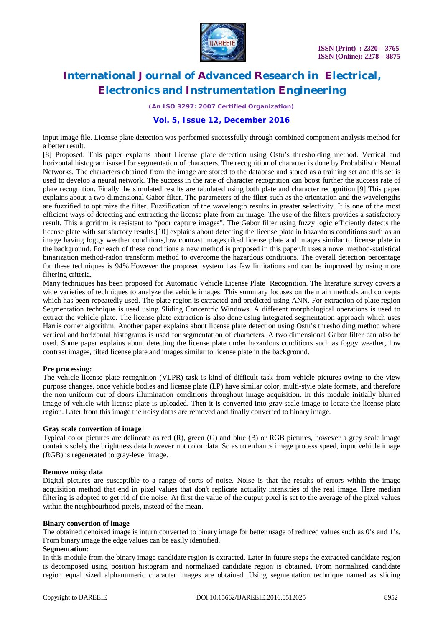

*(An ISO 3297: 2007 Certified Organization)*

### **Vol. 5, Issue 12, December 2016**

input image file. License plate detection was performed successfully through combined component analysis method for a better result.

[8] Proposed: This paper explains about License plate detection using Ostu's thresholding method. Vertical and horizontal histogram isused for segmentation of characters. The recognition of character is done by Probabilistic Neural Networks. The characters obtained from the image are stored to the database and stored as a training set and this set is used to develop a neural network. The success in the rate of character recognition can boost further the success rate of plate recognition. Finally the simulated results are tabulated using both plate and character recognition.[9] This paper explains about a two-dimensional Gabor filter. The parameters of the filter such as the orientation and the wavelengths are fuzzified to optimize the filter. Fuzzification of the wavelength results in greater selectivity. It is one of the most efficient ways of detecting and extracting the license plate from an image. The use of the filters provides a satisfactory result. This algorithm is resistant to "poor capture images". The Gabor filter using fuzzy logic efficiently detects the license plate with satisfactory results.[10] explains about detecting the license plate in hazardous conditions such as an image having foggy weather conditions,low contrast images,tilted license plate and images similar to license plate in the background. For each of these conditions a new method is proposed in this paper.It uses a novel method-statistical binarization method-radon transform method to overcome the hazardous conditions. The overall detection percentage for these techniques is 94%.However the proposed system has few limitations and can be improved by using more filtering criteria.

Many techniques has been proposed for Automatic Vehicle License Plate Recognition. The literature survey covers a wide varieties of techniques to analyze the vehicle images. This summary focuses on the main methods and concepts which has been repeatedly used. The plate region is extracted and predicted using ANN. For extraction of plate region Segmentation technique is used using Sliding Concentric Windows. A different morphological operations is used to extract the vehicle plate. The license plate extraction is also done using integrated segmentation approach which uses Harris corner algorithm. Another paper explains about license plate detection using Ostu's thresholding method where vertical and horizontal histograms is used for segmentation of characters. A two dimensional Gabor filter can also be used. Some paper explains about detecting the license plate under hazardous conditions such as foggy weather, low contrast images, tilted license plate and images similar to license plate in the background.

#### **Pre processing:**

The vehicle license plate recognition (VLPR) task is kind of difficult task from vehicle pictures owing to the view purpose changes, once vehicle bodies and license plate (LP) have similar color, multi-style plate formats, and therefore the non uniform out of doors illumination conditions throughout image acquisition. In this module initially blurred image of vehicle with license plate is uploaded. Then it is converted into gray scale image to locate the license plate region. Later from this image the noisy datas are removed and finally converted to binary image.

#### **Gray scale convertion of image**

Typical color pictures are delineate as red (R), green (G) and blue (B) or RGB pictures, however a grey scale image contains solely the brightness data however not color data. So as to enhance image process speed, input vehicle image (RGB) is regenerated to gray-level image.

#### **Remove noisy data**

Digital pictures are susceptible to a range of sorts of noise. Noise is that the results of errors within the image acquisition method that end in pixel values that don't replicate actuality intensities of the real image. Here median filtering is adopted to get rid of the noise. At first the value of the output pixel is set to the average of the pixel values within the neighbourhood pixels, instead of the mean.

#### **Binary convertion of image**

The obtained denoised image is inturn converted to binary image for better usage of reduced values such as 0's and 1's. From binary image the edge values can be easily identified.

#### **Segmentation:**

In this module from the binary image candidate region is extracted. Later in future steps the extracted candidate region is decomposed using position histogram and normalized candidate region is obtained. From normalized candidate region equal sized alphanumeric character images are obtained. Using segmentation technique named as sliding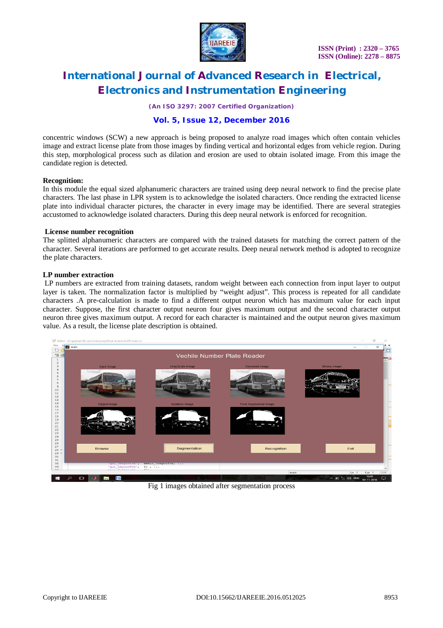

*(An ISO 3297: 2007 Certified Organization)*

### **Vol. 5, Issue 12, December 2016**

concentric windows (SCW) a new approach is being proposed to analyze road images which often contain vehicles image and extract license plate from those images by finding vertical and horizontal edges from vehicle region. During this step, morphological process such as dilation and erosion are used to obtain isolated image. From this image the candidate region is detected.

#### **Recognition:**

In this module the equal sized alphanumeric characters are trained using deep neural network to find the precise plate characters. The last phase in LPR system is to acknowledge the isolated characters. Once rending the extracted license plate into individual character pictures, the character in every image may be identified. There are several strategies accustomed to acknowledge isolated characters. During this deep neural network is enforced for recognition.

#### **License number recognition**

The splitted alphanumeric characters are compared with the trained datasets for matching the correct pattern of the character. Several iterations are performed to get accurate results. Deep neural network method is adopted to recognize the plate characters.

#### **LP number extraction**

LP numbers are extracted from training datasets, random weight between each connection from input layer to output layer is taken. The normalization factor is multiplied by "weight adjust". This process is repeated for all candidate characters .A pre-calculation is made to find a different output neuron which has maximum value for each input character. Suppose, the first character output neuron four gives maximum output and the second character output neuron three gives maximum output. A record for each character is maintained and the output neuron gives maximum value. As a result, the license plate description is obtained.



Fig 1 images obtained after segmentation process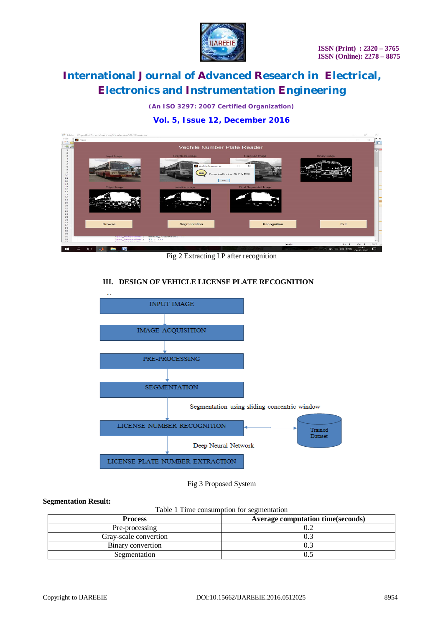

*(An ISO 3297: 2007 Certified Organization)*

### **Vol. 5, Issue 12, December 2016**



Fig 2 Extracting LP after recognition

### **III. DESIGN OF VEHICLE LICENSE PLATE RECOGNITION**



Fig 3 Proposed System

#### **Segmentation Result:**

Table 1 Time consumption for segmentation

| <b>Process</b>        | <b>Average computation time (seconds)</b> |
|-----------------------|-------------------------------------------|
| Pre-processing        | 0.2                                       |
| Gray-scale convertion |                                           |
| Binary convertion     | U. .                                      |
| Segmentation          |                                           |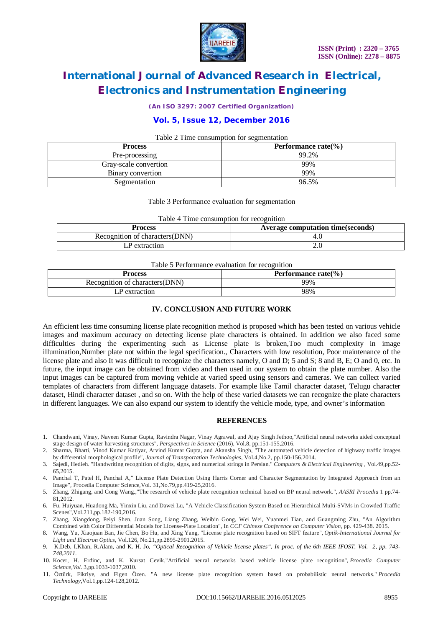

*(An ISO 3297: 2007 Certified Organization)*

### **Vol. 5, Issue 12, December 2016**

#### Table 2 Time consumption for segmentation

|                       | ີ                        |
|-----------------------|--------------------------|
| <b>Process</b>        | Performance rate $(\% )$ |
| Pre-processing        | 99.2%                    |
| Gray-scale convertion | 99%                      |
| Binary convertion     | 99%                      |
| Segmentation          | 96.5%                    |

Table 3 Performance evaluation for segmentation

|  |  |  |  |  | Table 4 Time consumption for recognition |
|--|--|--|--|--|------------------------------------------|
|--|--|--|--|--|------------------------------------------|

| <b>Process</b>                  | <b>Average computation time (seconds)</b> |
|---------------------------------|-------------------------------------------|
| Recognition of characters (DNN) | 4.U                                       |
| LP extraction                   |                                           |

#### Table 5 Performance evaluation for recognition

| <b>Process</b>                  | Performance rate $(\% )$ |
|---------------------------------|--------------------------|
| Recognition of characters (DNN) | 99%                      |
| P extraction                    | 98%                      |

#### **IV. CONCLUSION AND FUTURE WORK**

An efficient less time consuming license plate recognition method is proposed which has been tested on various vehicle images and maximum accuracy on detecting license plate characters is obtained. In addition we also faced some difficulties during the experimenting such as License plate is broken,Too much complexity in image illumination,Number plate not within the legal specification., Characters with low resolution, Poor maintenance of the license plate and also It was difficult to recognize the characters namely, O and D; 5 and S; 8 and B, E; O and 0, etc. In future, the input image can be obtained from video and then used in our system to obtain the plate number. Also the input images can be captured from moving vehicle at varied speed using sensors and cameras. We can collect varied templates of characters from different language datasets. For example like Tamil character dataset, Telugu character dataset, Hindi character dataset , and so on. With the help of these varied datasets we can recognize the plate characters in different languages. We can also expand our system to identify the vehicle mode, type, and owner's information

#### **REFERENCES**

- 1. Chandwani, Vinay, Naveen Kumar Gupta, Ravindra Nagar, Vinay Agrawal, and Ajay Singh Jethoo,"Artificial neural networks aided conceptual stage design of water harvesting structures", *Perspectives in Science* (2016), Vol.8, pp.151-155,2016.
- 2. Sharma, Bharti, Vinod Kumar Katiyar, Arvind Kumar Gupta, and Akansha Singh, "The automated vehicle detection of highway traffic images by differential morphological profile", *Journal of Transportation Technologies*, Vol.4,No.2, pp.150-156,2014.
- 3. Sajedi, Hedieh. "Handwriting recognition of digits, signs, and numerical strings in Persian." *Computers & Electrical Engineering* , Vol.49,pp.52- 65,2015.
- 4. Panchal T, Patel H, Panchal A," License Plate Detection Using Harris Corner and Character Segmentation by Integrated Approach from an Image", Procedia Computer Science,Vol. 31,No.79,pp.419-25,2016.
- 5. Zhang, Zhigang, and Cong Wang.,"The research of vehicle plate recognition technical based on BP neural network.", *AASRI Procedia* 1 pp.74- 81,2012.
- 6. Fu, Huiyuan, Huadong Ma, Yinxin Liu, and Dawei Lu, "A Vehicle Classification System Based on Hierarchical Multi-SVMs in Crowded Traffic Scenes",Vol.211,pp.182-190,2016.
- 7. Zhang, Xiangdong, Peiyi Shen, Juan Song, Liang Zhang, Weibin Gong, Wei Wei, Yuanmei Tian, and Guangming Zhu, "An Algorithm Combined with Color Differential Models for License-Plate Location", In *CCF Chinese Conference on Computer Vision*, pp. 429-438. 2015.
- 8. Wang, Yu, Xiaojuan Ban, Jie Chen, Bo Hu, and Xing Yang, "License plate recognition based on SIFT feature", *Optik-International Journal for Light and Electron Optics*, Vol.126, No.21,pp.2895-2901.2015.
- 9. K.Deb, I.Khan, R.Alam, and K. H. Jo, *"Optical Recognition of Vehicle license plates", In proc. of the 6th IEEE IFOST, Vol. 2, pp. 743- 748,2011.*
- 10. Kocer, H. Erdinc, and K. Kursat Cevik,"Artificial neural networks based vehicle license plate recognition", *Procedia Computer Science,Vol.* 3,pp.1033-1037,2010.
- 11. Öztürk, Fikriye, and Figen Özen. "A new license plate recognition system based on probabilistic neural networks." *Procedia Technology*,Vol.1,pp.124-128,2012.